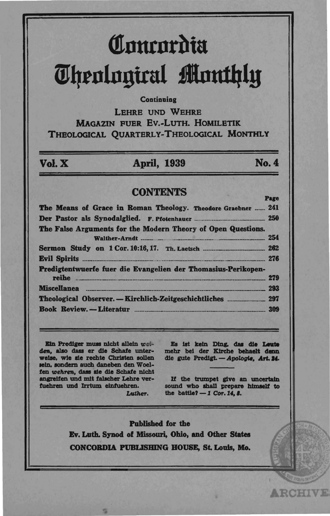# Concordia **Theological Monthly**

### Continuing

LEHRE UND WEHRE **MAGAZIN FUER EV.-LUTH, HOMILETIK** THEOLOGICAL QUARTERLY-THEOLOGICAL MONTHLY

## Vol. X

## **April, 1939**

## No. 4

### **CONTENTS**

| The Means of Grace in Roman Theology. Theodore Graebner  241                      |  |
|-----------------------------------------------------------------------------------|--|
|                                                                                   |  |
| The False Arguments for the Modern Theory of Open Questions.<br>Walther-Arndt 254 |  |
|                                                                                   |  |
| Predigtentwuerfe fuer die Evangelien der Thomasius-Perikopen-                     |  |
|                                                                                   |  |
|                                                                                   |  |
|                                                                                   |  |

Ein Prediger muss nicht allein weiden, also dass er die Schafe unterweise, wie sie rechte Christen sollen sein, sondern auch daneben den Woelfen wehren, dass sie die Schafe nicht angreifen und mit falscher Lehre verfuehren und Irrtum einfuehren.

Luther.

Es ist kein Ding, das die Leute mehr bei der Kirche behaelt denn die gute Predigt. - Apologie, Art. 24.

If the trumpet give an uncertain sound who shall prepare himself to the battle?  $-1$  Cor. 14. 8.

**ARCHIVE** 

Published for the Ev. Luth. Synod of Missouri, Ohio, and Other States CONCORDIA PUBLISHING HOUSE, St. Louis, Mo.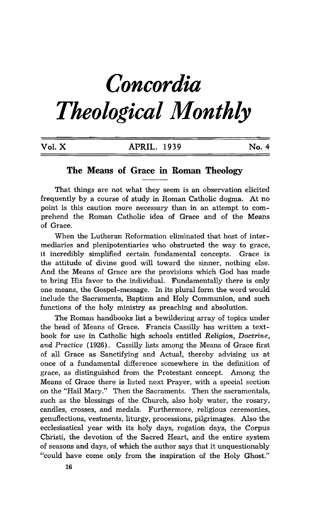# *Concordia Theological Monthly*

| Vol. X | APRIL, 1939 | No. 4 |  |
|--------|-------------|-------|--|
|        |             |       |  |

## **The Means of Grace in Roman Theology**

That things are not what they seem is an observation elicited frequently by a course of study in Roman Catholic dogma. At no point is this caution more necessary than in an attempt to comprehend the Roman Catholic idea of Grace and of the Means of Grace.

When the Lutheran Reformation eliminated that host of intermediaries and plenipotentiaries who obstructed the way to grace, it incredibly simplified certain fundamental concepts. Grace is the attitude of divine good will toward the sinner, nothing else. And the Means of Grace are the provisions which God has made to bring His favor to the individual. Fundamentally there is only one means, the Gospel-message. In its plural form the word would include the Sacraments, Baptism and Holy Communion, and such functions of the holy ministry as preaching and absolution.

The Roman handbooks list a bewildering array of topics under the head of Means of Grace. Francis Cassilly has written a textbook for use in Catholic high schools entitled *Religion, Doctrine, and* Practice (1926). Cassilly lists among the Means of Grace first of all Grace as Sanctifying and Actual, thereby advising us at once of a fundamental difference somewhere in the definition of grace, as distinguished from the Protestant concept. Among the Means of Grace there is listed next Prayer, with a special section on the "Hail Mary." Then the Sacraments. Then the sacramentals, such as the blessings of the Church, also holy water, the rosary, candles, crosses, and medals. Furthermore, religious ceremonies, genuflections, vestments, liturgy, processions, pilgrimages. Also the ecclesiastical year with its holy days, rogation days, the Corpus Christi, the devotion of the Sacred Heart, and the entire system of seasons and days, of which the author says that it unquestionably "could have come only from the inspiration of the Holy Ghost."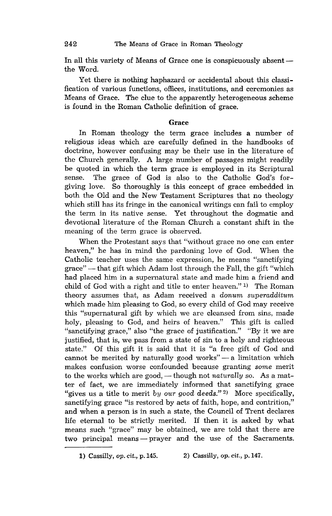In all this variety of Means of Grace one is conspicuously absent the Word.

Yet there is nothing haphazard or accidental about this classification of various functions, offices, institutions, and ceremonies as Means of Grace. The clue to the apparently heterogeneous scheme is found in the Roman Catholic definition of grace.

#### Grace

**In** Roman theology the term grace includes a number of religious ideas which are carefully defined in the handbooks of doctrine, however confusing may be their use in the literature of the Church generally. A large number of passages might readily be quoted in which the term grace is employed in its Scriptural sense. The grace of God is also to the Catholic God's forgiving love. So thoroughly is this concept of grace embedded in both the Old and the New Testament Scriptures that no theology which still has its fringe in the canonical writings can fail to employ the term in its native sense. Yet throughout the dogmatic and devotional literature of the Roman Church a constant shift in the meaning of the term grace is observed.

When the Protestant says that "without grace no one can enter heaven," he has in mind the pardoning love of God. When the Catholic teacher uses the same expression, he means "sanctifying grace" - that gift which Adam lost through the Fall, the gift "which had placed him in a supernatural state and made him a friend and child of God with a right and title to enter heaven." 1) The Roman theory assumes that, as Adam received a *donum superadditum*  which made him pleasing to God, so every child of God may receive this "supernatural gift by which we are cleansed from sins, made holy, pleasing to God, and heirs of heaven." This gift is called "sanctifying grace," also "the grace of justification." "By it we are justified, that is, we pass from a state of sin to a holy and righteous state." Of this gift it is said that it is "a free gift of God and cannot be merited by naturally good works" $-$ a limitation which makes confusion worse confounded because granting *some* merit to the works which are good, - though not *naturally* so. As a matter of fact, we are immediately informed that sanctifying grace "gives us a title to merit *by our good deeds."* 2) More specifically, sanctifying grace "is restored by acts of faith, hope, and contrition," and when a person is in such a state, the Council of Trent declares life eternal to be strictly merited. If then it is asked by what means such "grace" may be obtained, we are told that there are two principal means - prayer and the use of the Sacraments.

<sup>1)</sup> Cassilly, op. cit., p.145. 2) Cassilly, op. cit., p.147.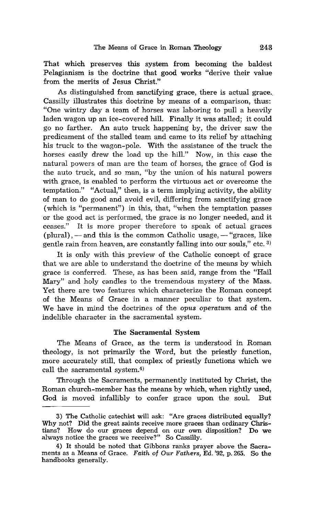That which preserves this system from becoming the baldest Pelagianism is the doctrine that good works "derive their value from the merits of Jesus Christ."

As distinguished from sanctifying grace, there is actual grace. Cassilly illustrates this doctrine by means of a comparison, thus: "One wintry day a team of horses was laboring to pull a heavily laden wagon up an ice-covered hill. Finally it was stalled; it could go no farther. An auto truck happening by, the driver saw the predicament of the stalled team and came to its relief by attaching his truck to the wagon-pole. With the assistance of the truck the horses easily drew the load up the hill." Now, in this case the natural powers of man are the team of horses, the grace of God is the auto truck, and so man, "by the union of his natural powers with grace, is enabled to perform the virtuous act or overcome the temptation." "Actual," then, is a term implying activity, the ability of man to do good and avoid evil, differing from sanctifying grace (which is "permanent") in this, that, "when the temptation passes or the good act is performed, the grace is no longer needed, and it ceases." It is more proper therefore to speak of actual graces  $(\text{plural})$ ,  $-$  and this is the common Catholic usage,  $-$  "graces, like gentle rain from heaven, are constantly falling into our souls," etc. 3)

It is only with this preview of the Catholic concept of grace that we are able to understand the doctrine of the means by which grace is conferred. These, as has been said, range from the "Hail Mary" and holy candles to the tremendous mystery of the Mass. Yet there are two features which characterize the Roman concept of the Means of Grace in a manner peculiar to that system. We have in mind the doctrines of the opus operatum and of the indelible character in the sacramental system.

#### The Sacramental System

The Means of Grace, as the term is understood in Roman theology, is not primarily the Word, but the priestly function, more accurately still, that complex of priestly functions which we call the sacramental system.4)

Through the Sacraments, permanently instituted by Christ, the Roman church-member has the means by which, when rightly used, God is moved infallibly to confer grace upon the soul. But

<sup>3)</sup> The Catholic catechist will ask: "Are graces distributed equally? Why not? Did the great saints receive more graces than ordinary Christians? How do our graces depend on our own disposition? Do we always notice the graces we receive?" So Cassilly.

<sup>4)</sup> It should be noted that Gibbons ranks prayer above the Sacraments as a Means of Grace. *Faith of Our Fathers,* Ed. '92, p. 265. So the handbooks generally.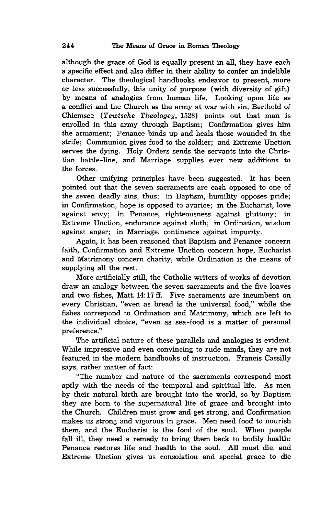although the grace of God is equally present in all, they have each a specific effect and also differ in their ability to confer an indelible character. The theological handbooks endeavor to present, more or less successfully, this unity of purpose (with diversity of gift) by means of analogies from human life. Looking upon life as a conflict and the Church as the army at war with sin, Berthold of Chiemsee *(Tewtsche Theologey,* 1528) points out that man is enrolled in this army through Baptism; Confirmation gives him the armament; Penance binds up and heals those wounded in the strife; Communion gives food to the soldier; and Extreme Unction serves the dying. Holy Orders sends the servants into the Christian battle-line, and Marriage supplies ever new additions to the forces.

Other unifying principles have been suggested. It has been pointed out that the seven sacraments are eaeh opposed to one of the seven deadly sins, thus: in Baptism, humility opposes pride; in Confirmation, hope is opposed to avarice; in the Eucharist, love against envy; in Penance, righteousness against gluttony; in Extreme Unction, endurance against sloth; in Ordination, wisdom against anger; in Marriage, continence against impurity.

Again, it has been reasoned that Baptism and Penance concern faith, Confirmation and Extreme Unction concern hope, Eucharist and Matrimony concern charity, while Ordination is the means of supplying all the rest.

More artificially still, the Catholic writers of works of devotion draw an analogy between the seven sacraments and the five loaves and two fishes, Matt. 14: 17 ff. Five sacraments are incumbent on every Christian, "even as bread is the universal food," while the fishes correspond to Ordination and Matrimony, which are left to the individual choice, "even as sea-food is a matter of personal preference."

The artificial nature of these parallels and analogies is evident. While impressive and even convincing to rude minds, they are not featured in the modern handbooks of instruction. Francis Cassilly says, rather matter of fact:

"The number and nature of the sacraments correspond most aptly with the needs of the temporal and spiritual life. As men by their natural birth are brought into the world, so by Baptism they are born to the supernatural life of grace and brought into the Church. Children must grow and get strong, and Confirmation makes us strong and vigorous in grace. Men need food to nourish them, and the Eucharist is the food of the soul. When people fall ill, they need a remedy to bring them back to bodily health; Penance restores life and health to the soul. All must die, and Extreme Unction gives us consolation and special grace to die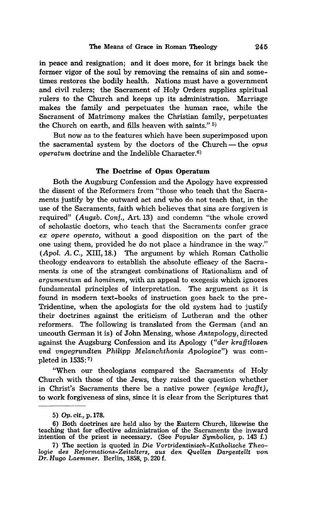in peace and resignation; and it does more, for it brings back the former vigor of the soul by removing the remains of sin and sometimes restores the bodily health. Nations must have a government and civil rulers; the Sacrament of Holy Orders supplies spiritual rulers to the Church and keeps up its administration. Marriage makes the family and perpetuates the human race, while the Sacrament of Matrimony makes the Christian family, perpetuates the Church on earth, and fills heaven with saints." 5)

But now as to the features which have been superimposed upon the sacramental system by the doctors of the Church - the *opus operatum* doctrine and the Indelible Character.<sup>6)</sup>

#### The Doctrine of Opus Operatum

Both the Augsburg Confession and the Apology have expressed the dissent of the Reformers from "those who teach that the Sacraments justify by the outward act and who do not teach that, in the use of the Sacraments, faith which believes that sins are forgiven is required" *(Augsb. Conf.,* Art. 13) and condemn "the whole crowd of scholastic doctors, who teach that the Sacraments confer grace *ex opere operato,* without a good disposition on the part of the one using them, provided he do not place a hindrance in the way." *(Apol.* A. *C.,* XIII,18.) The argument by which Roman Catholic theology endeavors to establish the absolute efficacy of the Sacraments is one of the strangest combinations of Rationalism and of *argumentum ad hominem,* with an appeal to exegesis which ignores fundamental principles of interpretation. The argument as it is found in modern text-books of instruction goes back to the pre-Tridentine, when the apologists for the old system had to justify their doctrines against the criticism of Lutheran and the other reformers. The following is translated from the German (and an uncouth German it is) of John Mensing, whose *Antapology,* directed against the Augsburg Confession and its Apology *("der krafftlosen vnd vngegrundten Philipp Melanchthonis Apologiae")* was completed in 1535: 7)

"When our theologians compared the Sacraments of Holy Church with those of the Jews, they raised the question whether in Christ's Sacraments there be a native power *(eynige krafft)*, to work forgiveness of sins, since it is clear from the Scriptures that

<sup>5)</sup> Op. *cit.,* p.178.

<sup>6)</sup> Both doctrines are held also by the Eastern Church, likewise the teaching that for effective administration of the Sacraments the inward intention of the priest is necessary. (See *Popular Symbolics,* p. 143 f.)

<sup>7)</sup> The section is quoted in Die *Vortridentinisch-Katholische Theologie des Reformations-Zeitalters, aus den Quellen Dargestellt von Dr. Hugo Laemmer.* Berlin, 1858, p. 220 f.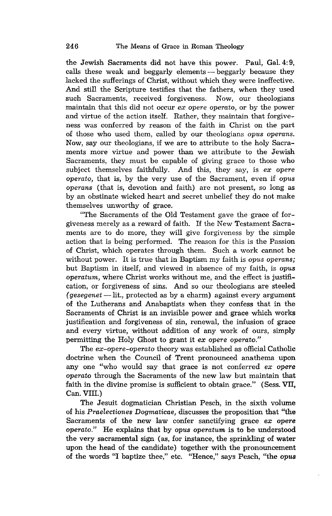the Jewish Sacraments did not have this power. Paul, Gal. 4: 9, calls these weak and beggarly elements - beggarly because they lacked the sufferings of Christ, without which they were ineffective. And still the Scripture testifies that the fathers, when they used such Sacraments, received forgiveness. Now, our theologians such Sacraments, received forgiveness. maintain that this did not occur *ex opere operato,* or by the power and virtue of the action itself. Rather, they maintain that forgiveness was conferred by reason of the faith in Christ on the part of those who used them, called by our theologians *opus operans.*  Now, say our theologians, if we are to attribute to the holy Sacraments more virtue and power than we attribute to the Jewish Sacraments, they must be capable of giving grace to those who subject themselves faithfully. And this, they say, *is ex opere operato,* that is, by the very use of the Sacrament, even if *opus operans* (that *is,* devotion and faith) are not present, so long as by an obstinate wicked heart and secret unbelief they do not make themselves unworthy of grace.

"The Sacraments of the Old Testament gave the grace of forgiveness merely as a reward of faith. If the New Testament Sacraments are to do more, they will give forgiveness by the simple action that is being performed. The reason for this is the Passion of Christ, which operates through them. Such a work cannot be without power. It is true that in Baptism my faith is *opus operans;*  but Baptism in itself, and viewed in absence of my faith, is *opus operatum,* where Christ works without me, and the effect is justification, or forgiveness of sins. And so our theologians are steeled *(gesegenet* -lit., protected as by a charm) against every argument of the Lutherans and Anabaptists when they confess that in the Sacraments of Christ is an invisible power and grace which works justification and forgiveness of sin, renewal, the infusion of grace and every virtue, without addition of any work of ours, simply permitting the Holy Ghost to grant it *ex opere operato."* 

The *ex-opere-operato* theory was established as official Catholic doctrine when the Council of Trent pronounced anathema upon any one "who would say that grace is not conferred *ex* opere *operato* through the Sacraments of the new law but maintain that faith in the divine promise is sufficient to obtain grace." (Sess. VII, Can. VIII.)

The Jesuit dogmatician Christian Pesch, in the sixth volume of his *Praelectiones Dogmaticae,* discusses the proposition that "the Sacraments of the new law confer sanctifying grace *ex opere operato."* He explains that by *opus operatum* is to be understood the very sacramental sign (as, for instance, the sprinkling of water upon the head of the candidate) together with the pronouncement of the words "I baptize thee," etc. "Hence," says Pesch, "the *opus*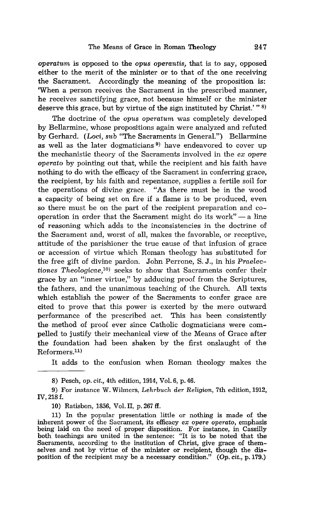*operatum* is opposed to the *opus operantis,* that is to say, opposed either to the merit of the minister or to that of the one receiving the Sacrament. Accordingly the meaning of the proposition is: 'When a person receives the Sacrament in the prescribed manner, he receives sanctifying grace, not because himself or the minister deserve this grace, but by virtue of the sign instituted by Christ.'"<sup>8)</sup>

The doctrine of the *opus operatum* was completely developed by Bellarmine, whose propositions again were analyzed and refuted by Gerhard. (Loci, *sub* "The Sacraments in General.") Bellarmine as well as the later dogmaticians<sup> $9)$ </sup> have endeavored to cover up the mechanistic theory of the Sacraments involved in the *ex opere operato* by pointing out that, while the recipient and his faith have nothing to do with the efficacy of the Sacrament in conferring grace, the recipient, by his faith and repentance, supplies a fertile soil for the operations of divine grace. "As there must be in the wood a capacity of being set on fire if a flame is to be produced, even so there must be on the part of the recipient preparation and cooperation in order that the Sacrament might do its work" $-$ a line of reasoning which adds to the inconsistencies in the doctrine of the Sacrament and, worst of all, makes the favorable, or receptive, attitude of the parishioner the true cause of that infusion of grace or accession of virtue which Roman theology has substituted for the free gift of divine pardon. John Perrone, S. J., in his *Praelectiones Theologicae,10)* seeks to show that Sacraments confer their grace by an "inner virtue," by adducing proof from the Scriptures, the fathers, and the unanimous teaching of the Church. All texts which establish the power of the Sacraments to confer grace are cited to prove that this power is exerted by the mere outward performance of the prescribed act. This has been consistently the method of proof ever since Catholic dogmaticians were compelled to justify their mechanical view of the Means of Grace after the foundation had been shaken by the first onslaught of the  $Reformers$ <sup>11)</sup>

It adds to the confusion when Roman theology makes the

10) Ratisbon, 1856, Vol. II, p. 267 ff.

<sup>8)</sup> Pesch, *op.* cit., 4th edition, 1914, Vol. 6, p. 46.

<sup>9)</sup> For instance W. Wilmers, *Lehrbuch der Religion,* 7th edition, 1912, IV, 218f.

<sup>11)</sup> In the popular presentation little or nothing is made of the inherent power of the Sacrament, its efficacy *ex opere operato,* emphasis being laid on the need of proper disposition. For instance, in Cassilly both teachings are united in the sentence: "It is to be noted that the Sacraments, according to the institution of Christ, give grace of themselves and not by virtue of the minister or recipient, though the disposition of the recipient may be a necessary condition." *(Op. cit.,* p.179.)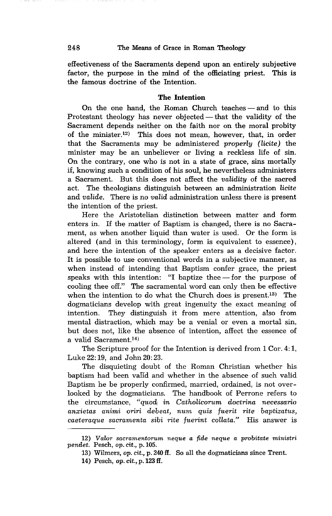effectiveness of the Sacraments depend upon an entirely subjective factor, the purpose in the mind of the officiating priest. This is the famous doctrine of the Intention.

#### The **Intention**

On the one hand, the Roman Church teaches - and to this Protestant theology has never objected  $-$  that the validity of the Sacrament depends neither on the faith nor on the moral probity of the minister.12) This does not mean, however, that, in order that the Sacraments may be administered *properly (licite)* the minister may be an unbeliever or living a reckless life of sin. On the contrary, one who is not in a state of grace, sins mortally if, knowing such a condition of his soul, he nevertheless administers a Sacrament. But this does not affect the *validity* of the sacred act. The theologians distinguish between an administration *licite*  and *valide.* There is no *valid* administration unless there is present the intention of the priest.

Here the Aristotelian distinction between matter and form enters in. If the matter of Baptism is changed, there is no Sacrament, as when another liquid than water is used. Or the form is altered (and in this terminology, form is equivalent to essence), and here the intention of the speaker enters as a decisive factor. It is possible to use conventional words in a subjective manner, as when instead of intending that Baptism confer grace, the priest speaks with this intention: "I baptize thee  $-$  for the purpose of cooling thee off." The sacramental word can only then be effective when the intention to do what the Church does is present.<sup>13)</sup> The dogmaticians develop with great ingenuity the exact meaning of intention. They distinguish it from mere attention, also from mental distraction, which may be a venial or even a mortal sin, but does not, like the absence of intention, affect the essence of a valid Sacrament.<sup>14)</sup>

The Scripture proof for the Intention is derived from 1 Cor. 4:1, Luke 22: 19, and John 20: 23.

The disquieting doubt of the Roman Christian whether his baptism had been valid and whether in the absence of such valid Baptism he be properly confirmed, married, ordained, is not overlooked by the dogmaticians. The handbook of Perrone refers to the circumstance, *"quod;, in Catholicorum doctrina necessario anxietas animi oriri debeat, num quis fuerit rite baptizatus, caeteraque sacramenta sibi rite fuerint collata."* His answer is

*<sup>12)</sup> Valor sacramentorum neque a fide neque a probitate ministri pendet.* Pesch, *op. cit.,* p.105.

<sup>13)</sup> Wilmers, *op. cit.,* p. 240 ff. So all the dogmaticians since Trent.

<sup>14)</sup> Pesch, *op. cit.,* p. 123 ff.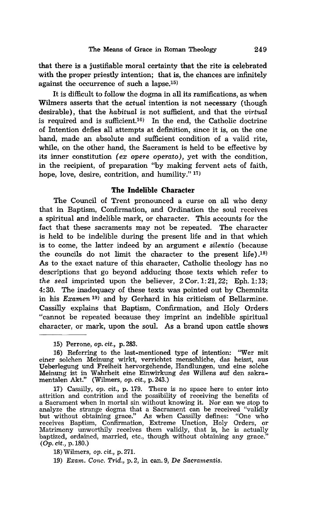that there is a justifiable moral certainty that the rite is celebrated with the proper priestly intention; that is, the chances are infinitely against the occurrence of such a lapse.15)

It is difficult to follow the dogma in all its ramifications, as when Wilmers asserts that the *actual* intention is not necessary (though desirable), that the *habitual* is not sufficient, and that the *virtual*  is required and is sufficient.16) In the end, the Catholic doctrine of Intention defies all attempts at definition, since it is, on the one hand, made an absolute and sufficient condition of a valid rite, while, on the other hand, the Sacrament is held to be effective by its inner constitution (ex opere *operato),* yet with the condition, in the recipient, of preparation "by making fervent acts of faith, hope, love, desire, contrition, and humility."<sup>17)</sup>

#### The Indelible Character

The Council of Trent pronounced a curse on all who deny that in Baptism, Confirmation, and Ordination the soul receives a spiritual and indelible mark, or character. This accounts for the fact that these sacraments may not be repeated. The character is held to be indelible during the present life and in that which is to come, the latter indeed by an argument e *silentio* (because the councils do not limit the character to the present life) .18) As to the exact nature of this character, Catholic theology has no descriptions that go beyond adducing those texts which refer to *the seal* imprinted upon the believer, 2 Cor. 1: 21, 22; Eph. 1: 13; 4: 30. The inadequacy of these texts was pointed out by Chemnitz in his *Examen* 19) and by Gerhard in his criticism of Bellarmine. Cassilly explains that Baptism, Confirmation, and Holy Orders "cannot be repeated because they imprint an indelible spiritual character, or mark, upon the soul. As a brand upon cattle shows

<sup>15)</sup> Perrone, op. *cit.,* p.283.

<sup>16)</sup> Referring to the last-mentioned type of intention: "Wer mit Ueberlegung und Freiheit hervorgehende, Handlungen, und eine solche Meinung ist in Wahrheit eine Einwirkung des Willens auf den sakramentalen Akt." (Wihners, op. cit., p.243.)

<sup>17)</sup> Cassilly, *op. cit.,* p. 179. There is no space here to enter into attrition and contrition and the possibility of receiving the benefits of a Sacrament when in mortal sin without knowing it. Nor can we stop to analyze the strange dogma that a Sacrament can be received "validly but without obtaining grace." As when Cassilly defines: "One who receives Baptism, Confirmation, Extreme Unction, Holy Orders, or Matrimony unworthily receives them validly, that is, he is actually baptized, ordained, married, etc., though without obtaining any grace." (Op. cit., p.180.)

<sup>18)</sup> Wilmers, op. cit., p.271.

*<sup>19)</sup> Exam. Cone. Trid.,* p.2, in can. 9, De *Sacramentis.*